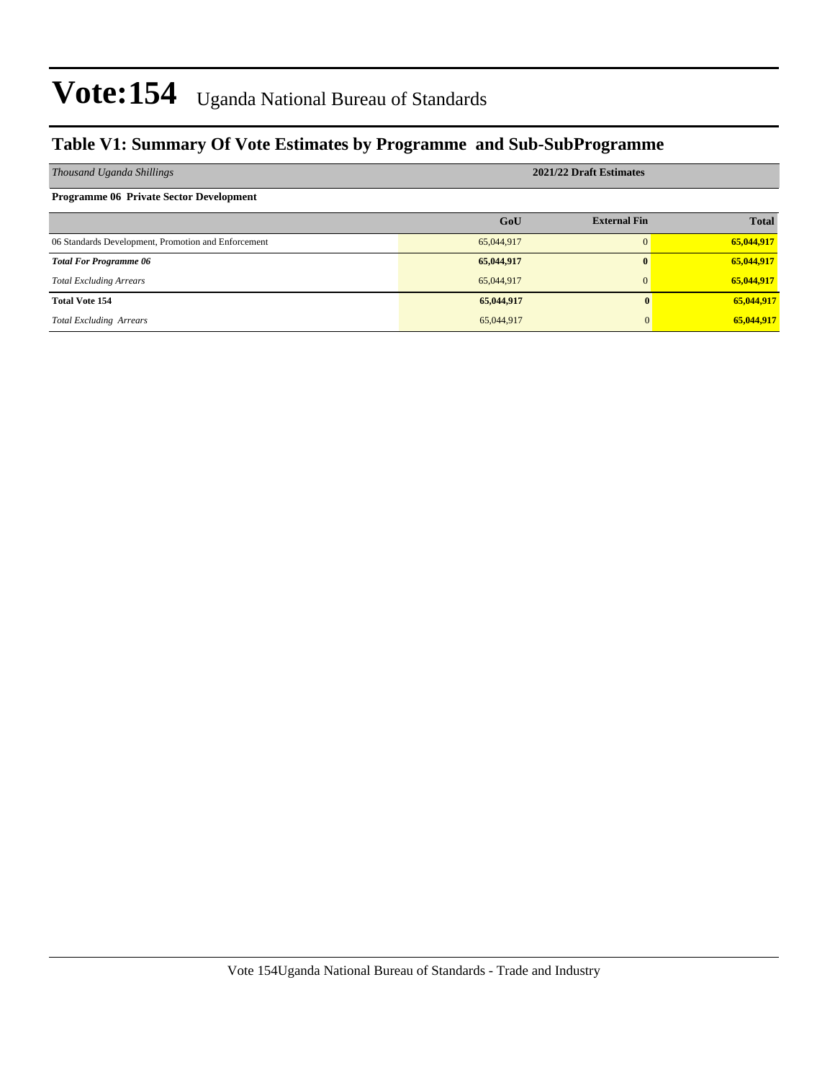#### **Table V1: Summary Of Vote Estimates by Programme and Sub-SubProgramme**

| Thousand Uganda Shillings                           | 2021/22 Draft Estimates |                     |              |  |  |  |  |
|-----------------------------------------------------|-------------------------|---------------------|--------------|--|--|--|--|
| <b>Programme 06 Private Sector Development</b>      |                         |                     |              |  |  |  |  |
|                                                     | GoU                     | <b>External Fin</b> | <b>Total</b> |  |  |  |  |
| 06 Standards Development, Promotion and Enforcement | 65,044,917              | $\Omega$            | 65,044,917   |  |  |  |  |
| <b>Total For Programme 06</b>                       | 65,044,917              | $\bf{0}$            | 65,044,917   |  |  |  |  |
| <b>Total Excluding Arrears</b>                      | 65,044,917              | $\Omega$            | 65,044,917   |  |  |  |  |
| <b>Total Vote 154</b>                               | 65,044,917              |                     | 65,044,917   |  |  |  |  |
| <b>Total Excluding Arrears</b>                      | 65,044,917              |                     | 65,044,917   |  |  |  |  |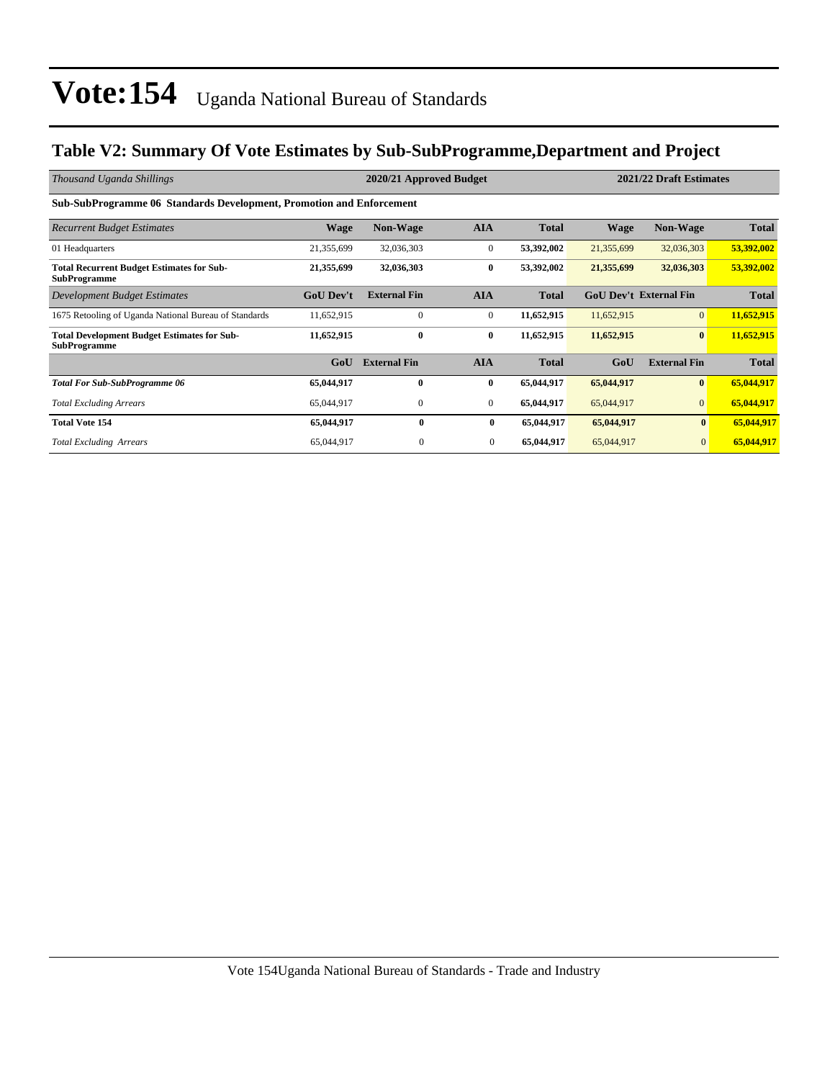#### **Table V2: Summary Of Vote Estimates by Sub-SubProgramme,Department and Project**

| Thousand Uganda Shillings                                                   |                  | 2020/21 Approved Budget |              | 2021/22 Draft Estimates |                               |                     |              |
|-----------------------------------------------------------------------------|------------------|-------------------------|--------------|-------------------------|-------------------------------|---------------------|--------------|
| <b>Sub-SubProgramme 06 Standards Development, Promotion and Enforcement</b> |                  |                         |              |                         |                               |                     |              |
| <b>Recurrent Budget Estimates</b>                                           | <b>Wage</b>      | <b>Non-Wage</b>         | <b>AIA</b>   | <b>Total</b>            | Wage                          | <b>Non-Wage</b>     | <b>Total</b> |
| 01 Headquarters                                                             | 21,355,699       | 32,036,303              | $\mathbf{0}$ | 53,392,002              | 21,355,699                    | 32,036,303          | 53,392,002   |
| <b>Total Recurrent Budget Estimates for Sub-</b><br><b>SubProgramme</b>     | 21,355,699       | 32,036,303              | $\bf{0}$     | 53,392,002              | 21,355,699                    | 32,036,303          | 53,392,002   |
| Development Budget Estimates                                                | <b>GoU Dev't</b> | <b>External Fin</b>     | <b>AIA</b>   | <b>Total</b>            | <b>GoU Dev't External Fin</b> |                     | <b>Total</b> |
| 1675 Retooling of Uganda National Bureau of Standards                       | 11,652,915       | $\mathbf{0}$            | $\mathbf{0}$ | 11,652,915              | 11,652,915                    | $\overline{0}$      | 11,652,915   |
| <b>Total Development Budget Estimates for Sub-</b><br><b>SubProgramme</b>   | 11,652,915       | $\bf{0}$                | $\bf{0}$     | 11,652,915              | 11,652,915                    | $\bf{0}$            | 11,652,915   |
|                                                                             | GoU              | <b>External Fin</b>     | <b>AIA</b>   | <b>Total</b>            | GoU                           | <b>External Fin</b> | <b>Total</b> |
| <b>Total For Sub-SubProgramme 06</b>                                        | 65,044,917       | $\bf{0}$                | $\bf{0}$     | 65,044,917              | 65,044,917                    | $\bf{0}$            | 65,044,917   |
| <b>Total Excluding Arrears</b>                                              | 65,044,917       | $\mathbf{0}$            | $\mathbf{0}$ | 65,044,917              | 65,044,917                    | $\mathbf{0}$        | 65,044,917   |
| <b>Total Vote 154</b>                                                       | 65,044,917       | $\mathbf{0}$            | $\bf{0}$     | 65,044,917              | 65,044,917                    | $\bf{0}$            | 65,044,917   |
| <b>Total Excluding Arrears</b>                                              | 65,044,917       | $\mathbf{0}$            | $\mathbf{0}$ | 65,044,917              | 65,044,917                    | $\mathbf{0}$        | 65,044,917   |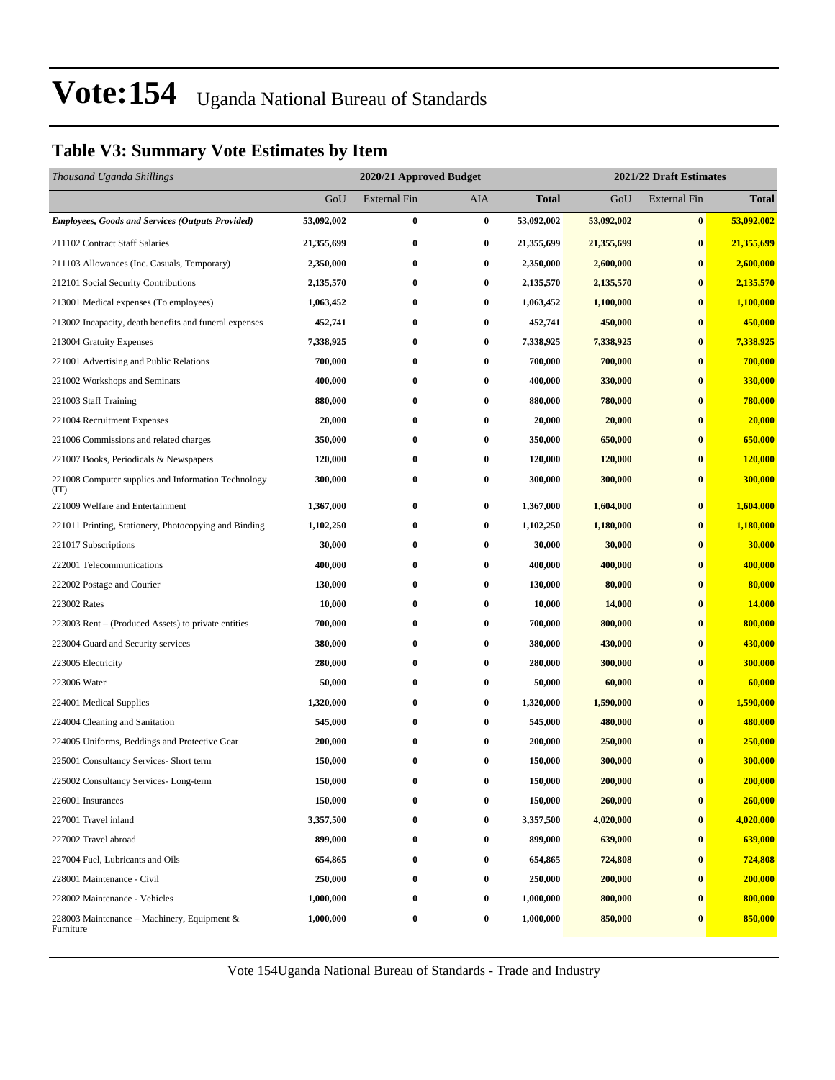#### **Table V3: Summary Vote Estimates by Item**

| Thousand Uganda Shillings                                   |            | 2021/22 Draft Estimates<br>2020/21 Approved Budget |                  |            |            |                     |                |
|-------------------------------------------------------------|------------|----------------------------------------------------|------------------|------------|------------|---------------------|----------------|
|                                                             | GoU        | <b>External Fin</b>                                | AIA              | Total      | GoU        | <b>External Fin</b> | <b>Total</b>   |
| <b>Employees, Goods and Services (Outputs Provided)</b>     | 53,092,002 | $\bf{0}$                                           | $\bf{0}$         | 53,092,002 | 53,092,002 | $\pmb{0}$           | 53,092,002     |
| 211102 Contract Staff Salaries                              | 21,355,699 | $\bf{0}$                                           | $\bf{0}$         | 21,355,699 | 21,355,699 | $\bf{0}$            | 21,355,699     |
| 211103 Allowances (Inc. Casuals, Temporary)                 | 2,350,000  | $\bf{0}$                                           | $\boldsymbol{0}$ | 2,350,000  | 2,600,000  | $\bf{0}$            | 2,600,000      |
| 212101 Social Security Contributions                        | 2,135,570  | $\bf{0}$                                           | $\bf{0}$         | 2,135,570  | 2,135,570  | $\bf{0}$            | 2,135,570      |
| 213001 Medical expenses (To employees)                      | 1,063,452  | $\bf{0}$                                           | $\bf{0}$         | 1,063,452  | 1,100,000  | $\bf{0}$            | 1,100,000      |
| 213002 Incapacity, death benefits and funeral expenses      | 452,741    | $\bf{0}$                                           | $\bf{0}$         | 452,741    | 450,000    | $\bf{0}$            | 450,000        |
| 213004 Gratuity Expenses                                    | 7,338,925  | $\bf{0}$                                           | $\bf{0}$         | 7,338,925  | 7,338,925  | $\bf{0}$            | 7,338,925      |
| 221001 Advertising and Public Relations                     | 700,000    | $\bf{0}$                                           | 0                | 700,000    | 700,000    | $\bf{0}$            | 700,000        |
| 221002 Workshops and Seminars                               | 400,000    | $\bf{0}$                                           | $\bf{0}$         | 400,000    | 330,000    | $\bf{0}$            | 330,000        |
| 221003 Staff Training                                       | 880,000    | $\bf{0}$                                           | $\bf{0}$         | 880,000    | 780,000    | $\bf{0}$            | 780,000        |
| 221004 Recruitment Expenses                                 | 20,000     | $\bf{0}$                                           | $\bf{0}$         | 20,000     | 20,000     | $\bf{0}$            | 20,000         |
| 221006 Commissions and related charges                      | 350,000    | $\bf{0}$                                           | $\bf{0}$         | 350,000    | 650,000    | $\bf{0}$            | 650,000        |
| 221007 Books, Periodicals & Newspapers                      | 120,000    | $\bf{0}$                                           | 0                | 120,000    | 120,000    | $\bf{0}$            | <b>120,000</b> |
| 221008 Computer supplies and Information Technology<br>(TT) | 300,000    | $\bf{0}$                                           | $\bf{0}$         | 300,000    | 300,000    | $\bf{0}$            | 300,000        |
| 221009 Welfare and Entertainment                            | 1,367,000  | $\bf{0}$                                           | $\bf{0}$         | 1,367,000  | 1,604,000  | $\bf{0}$            | 1,604,000      |
| 221011 Printing, Stationery, Photocopying and Binding       | 1,102,250  | $\bf{0}$                                           | 0                | 1,102,250  | 1,180,000  | $\bf{0}$            | 1,180,000      |
| 221017 Subscriptions                                        | 30,000     | $\bf{0}$                                           | 0                | 30,000     | 30,000     | $\bf{0}$            | 30,000         |
| 222001 Telecommunications                                   | 400,000    | 0                                                  | $\bf{0}$         | 400,000    | 400,000    | $\bf{0}$            | 400,000        |
| 222002 Postage and Courier                                  | 130,000    | $\bf{0}$                                           | $\bf{0}$         | 130,000    | 80,000     | $\bf{0}$            | 80,000         |
| 223002 Rates                                                | 10,000     | $\bf{0}$                                           | $\bf{0}$         | 10,000     | 14,000     | $\bf{0}$            | 14,000         |
| 223003 Rent – (Produced Assets) to private entities         | 700,000    | $\bf{0}$                                           | 0                | 700,000    | 800,000    | $\bf{0}$            | 800,000        |
| 223004 Guard and Security services                          | 380,000    | $\bf{0}$                                           | 0                | 380,000    | 430,000    | $\bf{0}$            | 430,000        |
| 223005 Electricity                                          | 280,000    | $\bf{0}$                                           | $\bf{0}$         | 280,000    | 300,000    | $\bf{0}$            | 300,000        |
| 223006 Water                                                | 50,000     | $\bf{0}$                                           | $\bf{0}$         | 50,000     | 60,000     | $\bf{0}$            | 60,000         |
| 224001 Medical Supplies                                     | 1,320,000  | $\bf{0}$                                           | $\bf{0}$         | 1,320,000  | 1,590,000  | $\bf{0}$            | 1,590,000      |
| 224004 Cleaning and Sanitation                              | 545,000    | $\bf{0}$                                           | 0                | 545,000    | 480,000    | $\bf{0}$            | 480,000        |
| 224005 Uniforms, Beddings and Protective Gear               | 200,000    | $\bf{0}$                                           | 0                | 200,000    | 250,000    | $\bf{0}$            | 250,000        |
| 225001 Consultancy Services- Short term                     | 150,000    | $\bf{0}$                                           | $\bf{0}$         | 150,000    | 300,000    | $\bf{0}$            | 300,000        |
| 225002 Consultancy Services-Long-term                       | 150,000    | $\boldsymbol{0}$                                   | $\bf{0}$         | 150,000    | 200,000    | $\bf{0}$            | 200,000        |
| 226001 Insurances                                           | 150,000    | 0                                                  | $\bf{0}$         | 150,000    | 260,000    | $\bf{0}$            | 260,000        |
| 227001 Travel inland                                        | 3,357,500  | $\bf{0}$                                           | $\bf{0}$         | 3,357,500  | 4,020,000  | $\bf{0}$            | 4,020,000      |
| 227002 Travel abroad                                        | 899,000    | $\bf{0}$                                           | 0                | 899,000    | 639,000    | $\bf{0}$            | 639,000        |
| 227004 Fuel, Lubricants and Oils                            | 654,865    | $\bf{0}$                                           | $\bf{0}$         | 654,865    | 724,808    | $\boldsymbol{0}$    | 724,808        |
| 228001 Maintenance - Civil                                  | 250,000    | $\bf{0}$                                           | $\bf{0}$         | 250,000    | 200,000    | $\bf{0}$            | 200,000        |
| 228002 Maintenance - Vehicles                               | 1,000,000  | $\bf{0}$                                           | $\bf{0}$         | 1,000,000  | 800,000    | $\bf{0}$            | 800,000        |
| 228003 Maintenance – Machinery, Equipment $\&$<br>Furniture | 1,000,000  | $\bf{0}$                                           | 0                | 1,000,000  | 850,000    | $\bf{0}$            | 850,000        |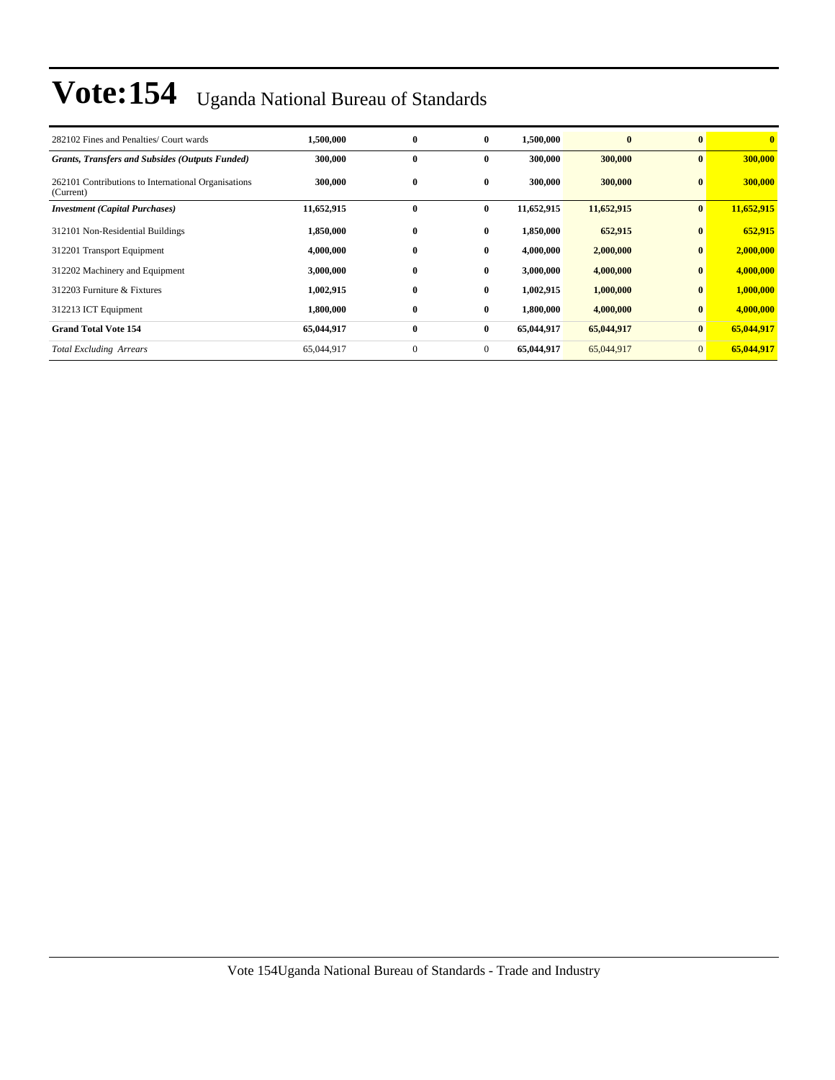| 282102 Fines and Penalties/ Court wards                          | 1.500.000  | $\bf{0}$ | $\bf{0}$     | 1,500,000  | $\bf{0}$   | $\mathbf{0}$   | $\mathbf{0}$ |
|------------------------------------------------------------------|------------|----------|--------------|------------|------------|----------------|--------------|
| <b>Grants, Transfers and Subsides (Outputs Funded)</b>           | 300,000    | $\bf{0}$ | 0            | 300,000    | 300,000    | $\bf{0}$       | 300,000      |
| 262101 Contributions to International Organisations<br>(Current) | 300,000    | $\bf{0}$ | $\bf{0}$     | 300,000    | 300,000    | $\bf{0}$       | 300,000      |
| <b>Investment</b> (Capital Purchases)                            | 11,652,915 | $\bf{0}$ | $\bf{0}$     | 11,652,915 | 11,652,915 | $\bf{0}$       | 11,652,915   |
| 312101 Non-Residential Buildings                                 | 1,850,000  | $\bf{0}$ | $\bf{0}$     | 1,850,000  | 652,915    | $\bf{0}$       | 652,915      |
| 312201 Transport Equipment                                       | 4,000,000  | $\bf{0}$ | $\bf{0}$     | 4,000,000  | 2,000,000  | $\bf{0}$       | 2,000,000    |
| 312202 Machinery and Equipment                                   | 3,000,000  | $\bf{0}$ | $\bf{0}$     | 3,000,000  | 4,000,000  | $\bf{0}$       | 4,000,000    |
| 312203 Furniture & Fixtures                                      | 1,002,915  | $\bf{0}$ | $\bf{0}$     | 1,002,915  | 1,000,000  | $\bf{0}$       | 1,000,000    |
| 312213 ICT Equipment                                             | 1,800,000  | $\bf{0}$ | $\bf{0}$     | 1,800,000  | 4,000,000  | $\bf{0}$       | 4,000,000    |
| <b>Grand Total Vote 154</b>                                      | 65,044,917 | $\bf{0}$ | $\bf{0}$     | 65,044,917 | 65,044,917 | $\bf{0}$       | 65,044,917   |
| <b>Total Excluding Arrears</b>                                   | 65,044,917 | $\theta$ | $\mathbf{0}$ | 65,044,917 | 65,044,917 | $\overline{0}$ | 65,044,917   |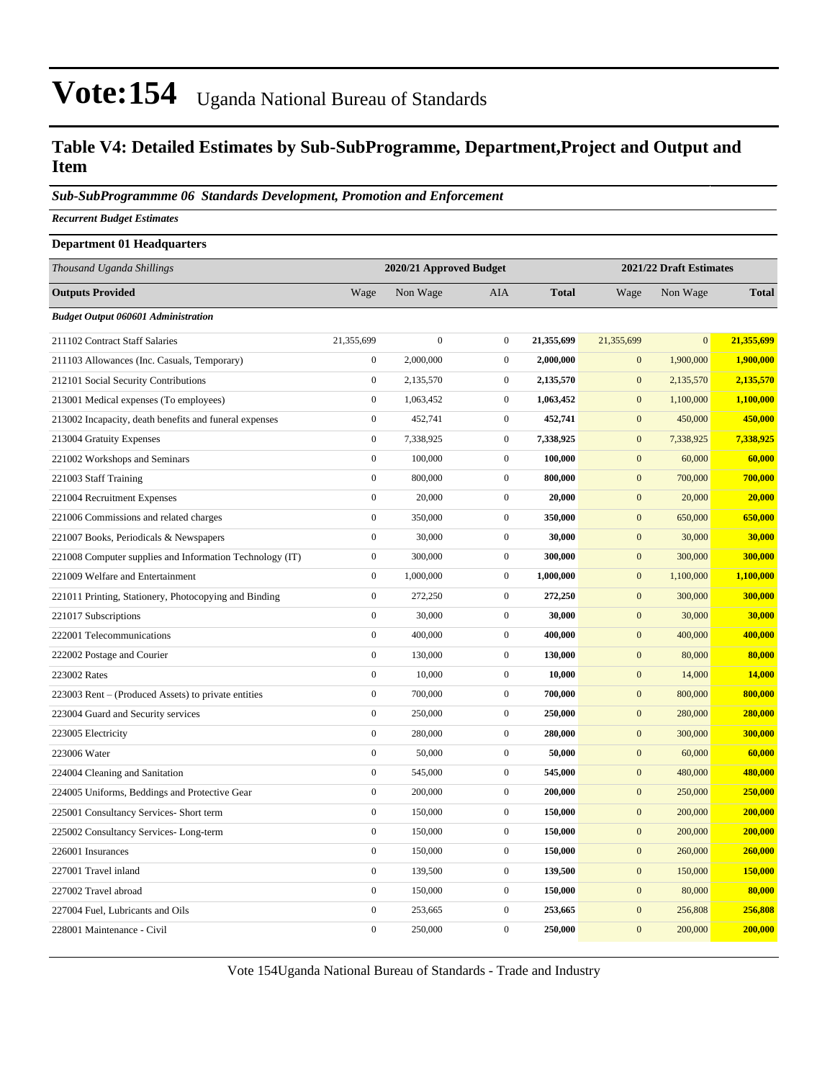#### **Table V4: Detailed Estimates by Sub-SubProgramme, Department,Project and Output and Item**

*Sub-SubProgrammme 06 Standards Development, Promotion and Enforcement*

*Recurrent Budget Estimates*

| <b>Department 01 Headquarters</b>                        |                  |                         |                  |                         |                  |              |              |
|----------------------------------------------------------|------------------|-------------------------|------------------|-------------------------|------------------|--------------|--------------|
| Thousand Uganda Shillings                                |                  | 2020/21 Approved Budget |                  | 2021/22 Draft Estimates |                  |              |              |
| <b>Outputs Provided</b>                                  | Wage             | Non Wage                | AIA              | <b>Total</b>            | Wage             | Non Wage     | <b>Total</b> |
| <b>Budget Output 060601 Administration</b>               |                  |                         |                  |                         |                  |              |              |
| 211102 Contract Staff Salaries                           | 21,355,699       | $\overline{0}$          | $\boldsymbol{0}$ | 21,355,699              | 21,355,699       | $\mathbf{0}$ | 21,355,699   |
| 211103 Allowances (Inc. Casuals, Temporary)              | $\boldsymbol{0}$ | 2,000,000               | $\mathbf{0}$     | 2,000,000               | $\boldsymbol{0}$ | 1,900,000    | 1,900,000    |
| 212101 Social Security Contributions                     | $\boldsymbol{0}$ | 2,135,570               | $\mathbf{0}$     | 2,135,570               | $\mathbf{0}$     | 2,135,570    | 2,135,570    |
| 213001 Medical expenses (To employees)                   | $\boldsymbol{0}$ | 1,063,452               | $\mathbf{0}$     | 1,063,452               | $\mathbf{0}$     | 1,100,000    | 1,100,000    |
| 213002 Incapacity, death benefits and funeral expenses   | $\boldsymbol{0}$ | 452,741                 | $\boldsymbol{0}$ | 452,741                 | $\mathbf{0}$     | 450,000      | 450,000      |
| 213004 Gratuity Expenses                                 | $\mathbf{0}$     | 7,338,925               | $\mathbf{0}$     | 7,338,925               | $\mathbf{0}$     | 7,338,925    | 7,338,925    |
| 221002 Workshops and Seminars                            | $\mathbf{0}$     | 100,000                 | $\mathbf{0}$     | 100,000                 | $\mathbf{0}$     | 60,000       | 60,000       |
| 221003 Staff Training                                    | $\mathbf{0}$     | 800,000                 | $\boldsymbol{0}$ | 800,000                 | $\boldsymbol{0}$ | 700,000      | 700,000      |
| 221004 Recruitment Expenses                              | $\boldsymbol{0}$ | 20,000                  | $\mathbf{0}$     | 20,000                  | $\mathbf{0}$     | 20,000       | 20,000       |
| 221006 Commissions and related charges                   | $\boldsymbol{0}$ | 350,000                 | $\mathbf{0}$     | 350,000                 | $\mathbf{0}$     | 650,000      | 650,000      |
| 221007 Books, Periodicals & Newspapers                   | $\boldsymbol{0}$ | 30,000                  | $\boldsymbol{0}$ | 30,000                  | $\mathbf{0}$     | 30,000       | 30,000       |
| 221008 Computer supplies and Information Technology (IT) | $\boldsymbol{0}$ | 300,000                 | $\mathbf{0}$     | 300,000                 | $\mathbf{0}$     | 300,000      | 300,000      |
| 221009 Welfare and Entertainment                         | $\boldsymbol{0}$ | 1,000,000               | $\mathbf{0}$     | 1,000,000               | $\mathbf{0}$     | 1,100,000    | 1,100,000    |
| 221011 Printing, Stationery, Photocopying and Binding    | $\boldsymbol{0}$ | 272,250                 | $\boldsymbol{0}$ | 272,250                 | $\boldsymbol{0}$ | 300,000      | 300,000      |
| 221017 Subscriptions                                     | $\boldsymbol{0}$ | 30,000                  | $\boldsymbol{0}$ | 30,000                  | $\boldsymbol{0}$ | 30,000       | 30,000       |
| 222001 Telecommunications                                | $\boldsymbol{0}$ | 400,000                 | $\mathbf{0}$     | 400,000                 | $\mathbf{0}$     | 400,000      | 400,000      |
| 222002 Postage and Courier                               | $\boldsymbol{0}$ | 130,000                 | $\boldsymbol{0}$ | 130,000                 | $\mathbf{0}$     | 80,000       | 80,000       |
| 223002 Rates                                             | $\boldsymbol{0}$ | 10,000                  | $\boldsymbol{0}$ | 10,000                  | $\mathbf{0}$     | 14,000       | 14,000       |
| 223003 Rent – (Produced Assets) to private entities      | $\boldsymbol{0}$ | 700,000                 | $\mathbf{0}$     | 700,000                 | $\mathbf{0}$     | 800,000      | 800,000      |
| 223004 Guard and Security services                       | $\boldsymbol{0}$ | 250,000                 | $\mathbf{0}$     | 250,000                 | $\mathbf{0}$     | 280,000      | 280,000      |
| 223005 Electricity                                       | $\boldsymbol{0}$ | 280,000                 | $\boldsymbol{0}$ | 280,000                 | $\boldsymbol{0}$ | 300,000      | 300,000      |
| 223006 Water                                             | $\boldsymbol{0}$ | 50,000                  | $\boldsymbol{0}$ | 50,000                  | $\mathbf{0}$     | 60,000       | 60,000       |
| 224004 Cleaning and Sanitation                           | $\boldsymbol{0}$ | 545,000                 | $\mathbf{0}$     | 545,000                 | $\mathbf{0}$     | 480,000      | 480,000      |
| 224005 Uniforms, Beddings and Protective Gear            | $\boldsymbol{0}$ | 200,000                 | $\boldsymbol{0}$ | 200,000                 | $\mathbf{0}$     | 250,000      | 250,000      |
| 225001 Consultancy Services- Short term                  | $\boldsymbol{0}$ | 150,000                 | $\mathbf{0}$     | 150,000                 | $\mathbf{0}$     | 200,000      | 200,000      |
| 225002 Consultancy Services-Long-term                    | $\boldsymbol{0}$ | 150,000                 | $\mathbf{0}$     | 150,000                 | $\mathbf{0}$     | 200,000      | 200,000      |
| 226001 Insurances                                        | $\mathbf{0}$     | 150,000                 | $\boldsymbol{0}$ | 150,000                 | $\boldsymbol{0}$ | 260,000      | 260,000      |
| 227001 Travel inland                                     | $\boldsymbol{0}$ | 139,500                 | $\boldsymbol{0}$ | 139,500                 | $\boldsymbol{0}$ | 150,000      | 150,000      |
| 227002 Travel abroad                                     | $\boldsymbol{0}$ | 150,000                 | $\mathbf{0}$     | 150,000                 | $\mathbf{0}$     | 80,000       | 80,000       |
| 227004 Fuel, Lubricants and Oils                         | $\boldsymbol{0}$ | 253,665                 | $\boldsymbol{0}$ | 253,665                 | $\mathbf{0}$     | 256,808      | 256,808      |
| 228001 Maintenance - Civil                               | $\boldsymbol{0}$ | 250,000                 | $\boldsymbol{0}$ | 250,000                 | $\mathbf{0}$     | 200,000      | 200,000      |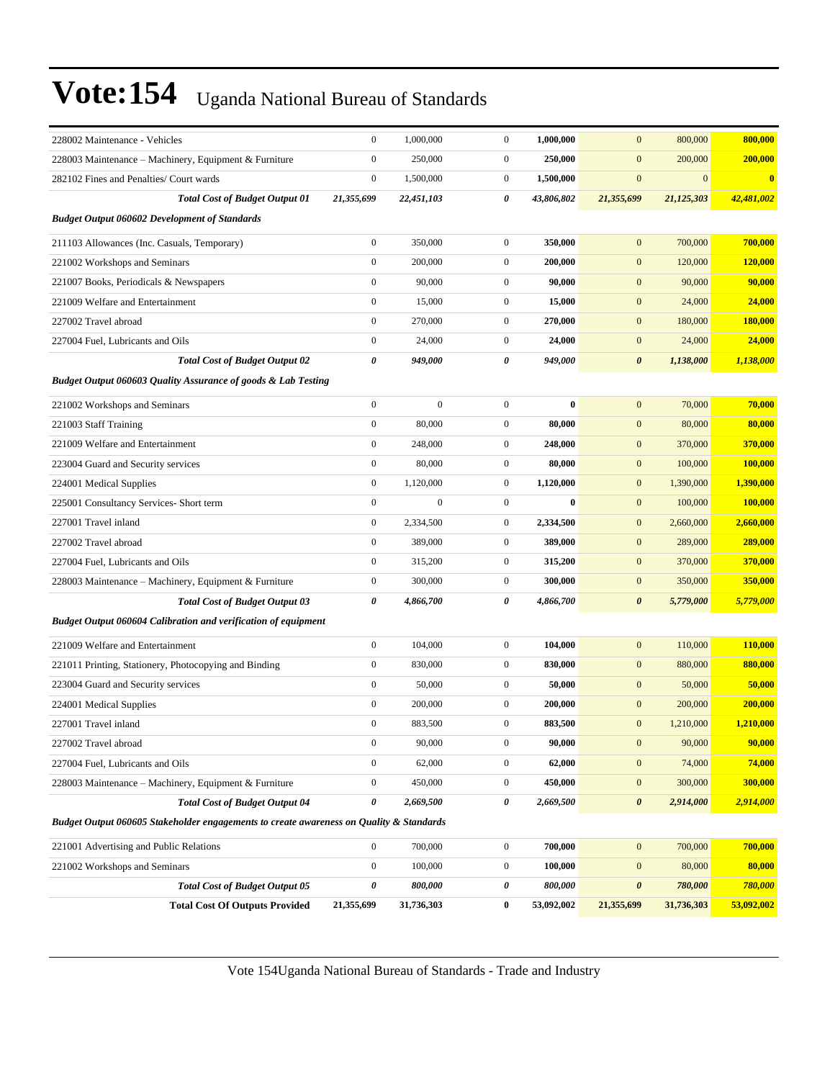| 228002 Maintenance - Vehicles                                                           | $\boldsymbol{0}$ | 1,000,000    | $\boldsymbol{0}$ | 1,000,000  | $\mathbf{0}$          | 800,000          | 800,000    |  |  |
|-----------------------------------------------------------------------------------------|------------------|--------------|------------------|------------|-----------------------|------------------|------------|--|--|
| 228003 Maintenance - Machinery, Equipment & Furniture                                   | $\boldsymbol{0}$ | 250,000      | $\mathbf{0}$     | 250,000    | $\boldsymbol{0}$      | 200,000          | 200,000    |  |  |
| 282102 Fines and Penalties/ Court wards                                                 | $\boldsymbol{0}$ | 1,500,000    | $\mathbf{0}$     | 1,500,000  | $\mathbf{0}$          | $\boldsymbol{0}$ | $\bf{0}$   |  |  |
| <b>Total Cost of Budget Output 01</b>                                                   | 21,355,699       | 22,451,103   | 0                | 43,806,802 | 21,355,699            | 21,125,303       | 42,481,002 |  |  |
| <b>Budget Output 060602 Development of Standards</b>                                    |                  |              |                  |            |                       |                  |            |  |  |
| 211103 Allowances (Inc. Casuals, Temporary)                                             | $\boldsymbol{0}$ | 350,000      | $\overline{0}$   | 350,000    | $\boldsymbol{0}$      | 700,000          | 700,000    |  |  |
| 221002 Workshops and Seminars                                                           | $\boldsymbol{0}$ | 200,000      | $\overline{0}$   | 200,000    | $\mathbf{0}$          | 120,000          | 120,000    |  |  |
| 221007 Books, Periodicals & Newspapers                                                  | $\boldsymbol{0}$ | 90,000       | $\overline{0}$   | 90,000     | $\boldsymbol{0}$      | 90,000           | 90,000     |  |  |
| 221009 Welfare and Entertainment                                                        | $\boldsymbol{0}$ | 15,000       | $\mathbf{0}$     | 15,000     | $\mathbf{0}$          | 24,000           | 24,000     |  |  |
| 227002 Travel abroad                                                                    | $\boldsymbol{0}$ | 270,000      | $\mathbf{0}$     | 270,000    | $\mathbf{0}$          | 180,000          | 180,000    |  |  |
| 227004 Fuel, Lubricants and Oils                                                        | $\boldsymbol{0}$ | 24,000       | $\mathbf{0}$     | 24,000     | $\boldsymbol{0}$      | 24,000           | 24,000     |  |  |
| <b>Total Cost of Budget Output 02</b>                                                   | 0                | 949,000      | $\theta$         | 949,000    | $\boldsymbol{\theta}$ | 1,138,000        | 1,138,000  |  |  |
| Budget Output 060603 Quality Assurance of goods & Lab Testing                           |                  |              |                  |            |                       |                  |            |  |  |
| 221002 Workshops and Seminars                                                           | $\boldsymbol{0}$ | $\mathbf{0}$ | $\overline{0}$   | $\bf{0}$   | $\boldsymbol{0}$      | 70,000           | 70,000     |  |  |
| 221003 Staff Training                                                                   | $\boldsymbol{0}$ | 80,000       | $\mathbf{0}$     | 80,000     | $\mathbf{0}$          | 80,000           | 80,000     |  |  |
| 221009 Welfare and Entertainment                                                        | $\boldsymbol{0}$ | 248,000      | $\mathbf{0}$     | 248,000    | $\boldsymbol{0}$      | 370,000          | 370,000    |  |  |
| 223004 Guard and Security services                                                      | $\boldsymbol{0}$ | 80,000       | $\mathbf{0}$     | 80,000     | $\boldsymbol{0}$      | 100,000          | 100,000    |  |  |
| 224001 Medical Supplies                                                                 | $\boldsymbol{0}$ | 1,120,000    | $\mathbf{0}$     | 1,120,000  | $\mathbf{0}$          | 1,390,000        | 1,390,000  |  |  |
| 225001 Consultancy Services- Short term                                                 | $\boldsymbol{0}$ | $\mathbf{0}$ | $\overline{0}$   | $\bf{0}$   | $\mathbf{0}$          | 100,000          | 100,000    |  |  |
| 227001 Travel inland                                                                    | $\boldsymbol{0}$ | 2,334,500    | $\mathbf{0}$     | 2,334,500  | $\mathbf{0}$          | 2,660,000        | 2,660,000  |  |  |
| 227002 Travel abroad                                                                    | $\mathbf{0}$     | 389,000      | $\mathbf{0}$     | 389,000    | $\boldsymbol{0}$      | 289,000          | 289,000    |  |  |
| 227004 Fuel, Lubricants and Oils                                                        | $\boldsymbol{0}$ | 315,200      | $\mathbf{0}$     | 315,200    | $\boldsymbol{0}$      | 370,000          | 370,000    |  |  |
| 228003 Maintenance - Machinery, Equipment & Furniture                                   | $\boldsymbol{0}$ | 300,000      | $\mathbf{0}$     | 300,000    | $\boldsymbol{0}$      | 350,000          | 350,000    |  |  |
| <b>Total Cost of Budget Output 03</b>                                                   | 0                | 4,866,700    | 0                | 4,866,700  | $\boldsymbol{\theta}$ | 5,779,000        | 5,779,000  |  |  |
| Budget Output 060604 Calibration and verification of equipment                          |                  |              |                  |            |                       |                  |            |  |  |
| 221009 Welfare and Entertainment                                                        | $\boldsymbol{0}$ | 104,000      | $\mathbf{0}$     | 104,000    | $\mathbf{0}$          | 110,000          | 110,000    |  |  |
| 221011 Printing, Stationery, Photocopying and Binding                                   | $\boldsymbol{0}$ | 830,000      | $\mathbf{0}$     | 830,000    | $\mathbf{0}$          | 880,000          | 880,000    |  |  |
| 223004 Guard and Security services                                                      | $\boldsymbol{0}$ | 50,000       | $\mathbf{0}$     | 50,000     | $\boldsymbol{0}$      | 50,000           | 50,000     |  |  |
| 224001 Medical Supplies                                                                 | $\boldsymbol{0}$ | 200,000      | $\mathbf{0}$     | 200,000    | $\mathbf{0}$          | 200,000          | 200,000    |  |  |
| 227001 Travel inland                                                                    | $\boldsymbol{0}$ | 883,500      | $\mathbf{0}$     | 883,500    | $\mathbf{0}$          | 1,210,000        | 1,210,000  |  |  |
| 227002 Travel abroad                                                                    | $\boldsymbol{0}$ | 90,000       | $\boldsymbol{0}$ | 90,000     | $\boldsymbol{0}$      | 90,000           | 90,000     |  |  |
| 227004 Fuel, Lubricants and Oils                                                        | $\overline{0}$   | 62,000       | $\overline{0}$   | 62,000     | $\boldsymbol{0}$      | 74,000           | 74,000     |  |  |
| 228003 Maintenance - Machinery, Equipment & Furniture                                   | $\boldsymbol{0}$ | 450,000      | $\boldsymbol{0}$ | 450,000    | $\boldsymbol{0}$      | 300,000          | 300,000    |  |  |
| <b>Total Cost of Budget Output 04</b>                                                   | $\pmb{\theta}$   | 2,669,500    | 0                | 2,669,500  | $\boldsymbol{\theta}$ | 2,914,000        | 2,914,000  |  |  |
| Budget Output 060605 Stakeholder engagements to create awareness on Quality & Standards |                  |              |                  |            |                       |                  |            |  |  |
| 221001 Advertising and Public Relations                                                 | $\overline{0}$   | 700,000      | $\boldsymbol{0}$ | 700,000    | $\boldsymbol{0}$      | 700,000          | 700,000    |  |  |
| 221002 Workshops and Seminars                                                           | $\boldsymbol{0}$ | 100,000      | $\boldsymbol{0}$ | 100,000    | $\mathbf{0}$          | 80,000           | 80,000     |  |  |
| <b>Total Cost of Budget Output 05</b>                                                   | 0                | 800,000      | 0                | 800,000    | $\boldsymbol{\theta}$ | 780,000          | 780,000    |  |  |
| <b>Total Cost Of Outputs Provided</b>                                                   | 21,355,699       | 31,736,303   | $\bf{0}$         | 53,092,002 | 21,355,699            | 31,736,303       | 53,092,002 |  |  |